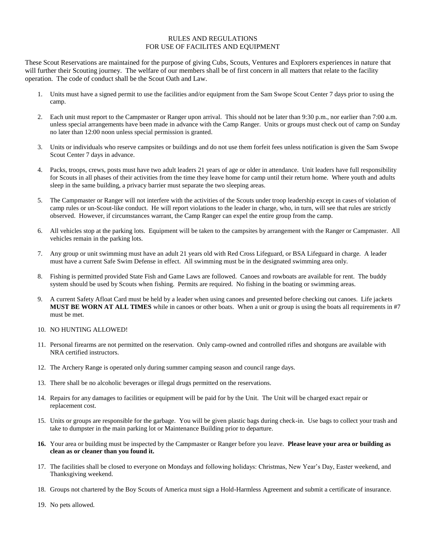## RULES AND REGULATIONS FOR USE OF FACILITES AND EQUIPMENT

These Scout Reservations are maintained for the purpose of giving Cubs, Scouts, Ventures and Explorers experiences in nature that will further their Scouting journey. The welfare of our members shall be of first concern in all matters that relate to the facility operation. The code of conduct shall be the Scout Oath and Law.

- 1. Units must have a signed permit to use the facilities and/or equipment from the Sam Swope Scout Center 7 days prior to using the camp.
- 2. Each unit must report to the Campmaster or Ranger upon arrival. This should not be later than 9:30 p.m., nor earlier than 7:00 a.m. unless special arrangements have been made in advance with the Camp Ranger. Units or groups must check out of camp on Sunday no later than 12:00 noon unless special permission is granted.
- 3. Units or individuals who reserve campsites or buildings and do not use them forfeit fees unless notification is given the Sam Swope Scout Center 7 days in advance.
- 4. Packs, troops, crews, posts must have two adult leaders 21 years of age or older in attendance. Unit leaders have full responsibility for Scouts in all phases of their activities from the time they leave home for camp until their return home. Where youth and adults sleep in the same building, a privacy barrier must separate the two sleeping areas.
- 5. The Campmaster or Ranger will not interfere with the activities of the Scouts under troop leadership except in cases of violation of camp rules or un-Scout-like conduct. He will report violations to the leader in charge, who, in turn, will see that rules are strictly observed. However, if circumstances warrant, the Camp Ranger can expel the entire group from the camp.
- 6. All vehicles stop at the parking lots. Equipment will be taken to the campsites by arrangement with the Ranger or Campmaster. All vehicles remain in the parking lots.
- 7. Any group or unit swimming must have an adult 21 years old with Red Cross Lifeguard, or BSA Lifeguard in charge. A leader must have a current Safe Swim Defense in effect. All swimming must be in the designated swimming area only.
- 8. Fishing is permitted provided State Fish and Game Laws are followed. Canoes and rowboats are available for rent. The buddy system should be used by Scouts when fishing. Permits are required. No fishing in the boating or swimming areas.
- 9. A current Safety Afloat Card must be held by a leader when using canoes and presented before checking out canoes. Life jackets **MUST BE WORN AT ALL TIMES** while in canoes or other boats. When a unit or group is using the boats all requirements in #7 must be met.
- 10. NO HUNTING ALLOWED!
- 11. Personal firearms are not permitted on the reservation. Only camp-owned and controlled rifles and shotguns are available with NRA certified instructors.
- 12. The Archery Range is operated only during summer camping season and council range days.
- 13. There shall be no alcoholic beverages or illegal drugs permitted on the reservations.
- 14. Repairs for any damages to facilities or equipment will be paid for by the Unit. The Unit will be charged exact repair or replacement cost.
- 15. Units or groups are responsible for the garbage. You will be given plastic bags during check-in. Use bags to collect your trash and take to dumpster in the main parking lot or Maintenance Building prior to departure.
- **16.** Your area or building must be inspected by the Campmaster or Ranger before you leave. **Please leave your area or building as clean as or cleaner than you found it.**
- 17. The facilities shall be closed to everyone on Mondays and following holidays: Christmas, New Year's Day, Easter weekend, and Thanksgiving weekend.
- 18. Groups not chartered by the Boy Scouts of America must sign a Hold-Harmless Agreement and submit a certificate of insurance.
- 19. No pets allowed.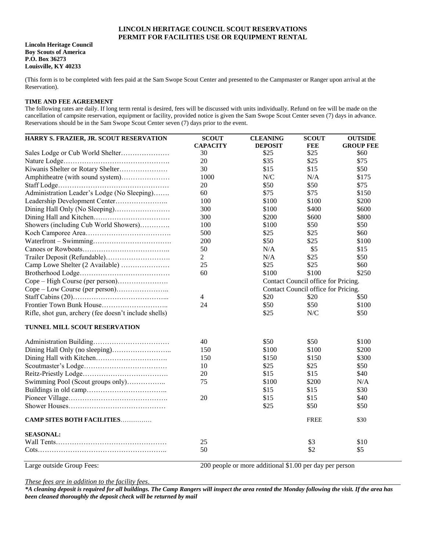## **LINCOLN HERITAGE COUNCIL SCOUT RESERVATIONS PERMIT FOR FACILITIES USE OR EQUIPMENT RENTAL**

#### **Lincoln Heritage Council Boy Scouts of America P.O. Box 36273 Louisville, KY 40233**

(This form is to be completed with fees paid at the Sam Swope Scout Center and presented to the Campmaster or Ranger upon arrival at the Reservation).

### **TIME AND FEE AGREEMENT**

The following rates are daily. If long term rental is desired, fees will be discussed with units individually. Refund on fee will be made on the cancellation of campsite reservation, equipment or facility, provided notice is given the Sam Swope Scout Center seven (7) days in advance. Reservations should be in the Sam Swope Scout Center seven (7) days prior to the event.

| HARRY S. FRAZIER, JR. SCOUT RESERVATION               | <b>SCOUT</b><br><b>CAPACITY</b> | <b>CLEANING</b><br><b>DEPOSIT</b>   | <b>SCOUT</b><br><b>FEE</b> | <b>OUTSIDE</b><br><b>GROUP FEE</b> |  |
|-------------------------------------------------------|---------------------------------|-------------------------------------|----------------------------|------------------------------------|--|
|                                                       | 30                              | \$25                                | \$25                       | \$60                               |  |
|                                                       | 20                              | \$35                                | \$25                       | \$75                               |  |
|                                                       | 30                              | \$15                                | \$15                       | \$50                               |  |
| Amphitheatre (with sound system)                      | 1000                            | N/C                                 | N/A                        | \$175                              |  |
|                                                       | 20                              | \$50                                | \$50                       | \$75                               |  |
| Administration Leader's Lodge (No Sleeping)           | 60                              | \$75                                | \$75                       | \$150                              |  |
|                                                       | 100                             | \$100                               | \$100                      | \$200                              |  |
|                                                       | 300                             | \$100                               | \$400                      | \$600                              |  |
|                                                       | 300                             | \$200                               | \$600                      | \$800                              |  |
| Showers (including Cub World Showers)                 | 100                             | \$100                               | \$50                       | \$50                               |  |
|                                                       | 500                             | \$25                                | \$25                       | \$60                               |  |
|                                                       | 200                             | \$50                                | \$25                       | \$100                              |  |
|                                                       | 50                              | N/A                                 | \$5                        | \$15                               |  |
|                                                       | $\overline{2}$                  | N/A                                 | \$25                       | \$50                               |  |
| Camp Lowe Shelter (2 Available)                       | 25                              | \$25                                | \$25                       | \$60                               |  |
|                                                       | 60                              | \$100                               | \$100                      | \$250                              |  |
|                                                       |                                 | Contact Council office for Pricing. |                            |                                    |  |
|                                                       |                                 | Contact Council office for Pricing. |                            |                                    |  |
|                                                       | $\overline{4}$                  | \$20                                | \$20                       | \$50                               |  |
|                                                       | 24                              | \$50                                | \$50                       | \$100                              |  |
| Rifle, shot gun, archery (fee doesn't include shells) |                                 | \$25                                | N/C                        | \$50                               |  |
| TUNNEL MILL SCOUT RESERVATION                         |                                 |                                     |                            |                                    |  |
|                                                       | 40                              | \$50                                | \$50                       | \$100                              |  |
|                                                       | 150                             | \$100                               | \$100                      | \$200                              |  |
|                                                       | 150                             | \$150                               | \$150                      | \$300                              |  |
|                                                       | 10                              | \$25                                | \$25                       | \$50                               |  |
|                                                       | 20                              | \$15                                | \$15                       | \$40                               |  |
| Swimming Pool (Scout groups only)                     | 75                              | \$100                               | \$200                      | N/A                                |  |
|                                                       |                                 | \$15                                | \$15                       | \$30                               |  |
|                                                       | 20                              | \$15                                | \$15                       | \$40                               |  |
|                                                       |                                 | \$25                                | \$50                       | \$50                               |  |
| <b>CAMP SITES BOTH FACILITIES</b>                     |                                 |                                     | <b>FREE</b>                | \$30                               |  |
| <b>SEASONAL:</b>                                      |                                 |                                     |                            |                                    |  |
|                                                       | 25                              |                                     | \$3                        | \$10                               |  |
|                                                       | 50                              |                                     | \$2                        | \$5                                |  |

Large outside Group Fees: 200 people or more additional \$1.00 per day per person

*These fees are in addition to the facility fees*.

*\*A cleaning deposit is required for all buildings. The Camp Rangers will inspect the area rented the Monday following the visit. If the area has been cleaned thoroughly the deposit check will be returned by mail*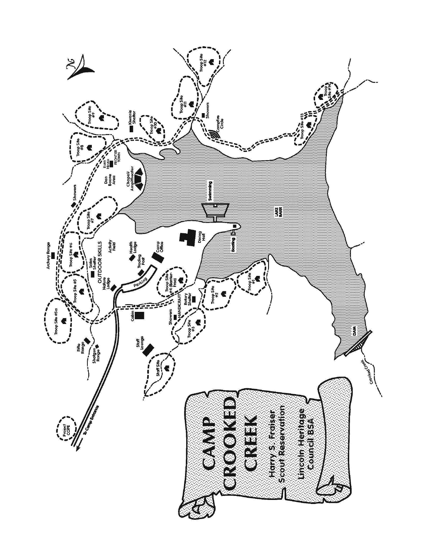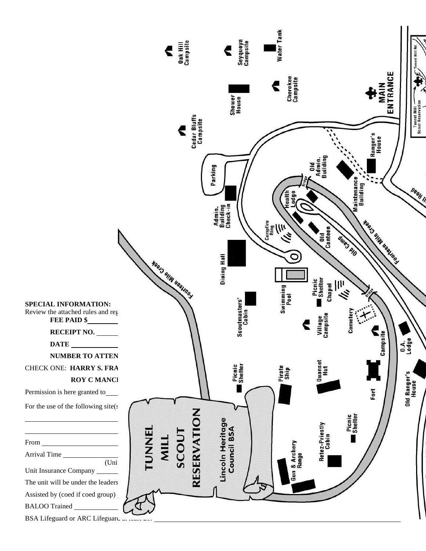